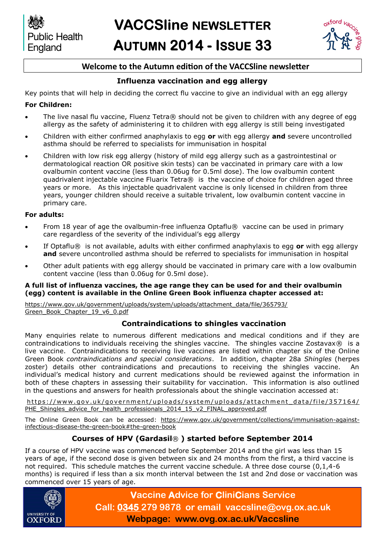

# **Welcome to the Autumn edition of the VACCSline newsletter**

## **Influenza vaccination and egg allergy**

Key points that will help in deciding the correct flu vaccine to give an individual with an egg allergy

#### **For Children:**

- The live nasal flu vaccine, Fluenz Tetra® should not be given to children with any degree of egg allergy as the safety of administering it to children with egg allergy is still being investigated
- Children with either confirmed anaphylaxis to egg **or** with egg allergy **and** severe uncontrolled asthma should be referred to specialists for immunisation in hospital
- Children with low risk egg allergy (history of mild egg allergy such as a gastrointestinal or dermatological reaction OR positive skin tests) can be vaccinated in primary care with a low ovalbumin content vaccine (less than 0.06ug for 0.5ml dose). The low ovalbumin content quadrivalent injectable vaccine Fluarix Tetra® is the vaccine of choice for children aged three years or more. As this injectable quadrivalent vaccine is only licensed in children from three years, younger children should receive a suitable trivalent, low ovalbumin content vaccine in primary care.

#### **For adults:**

- From 18 year of age the ovalbumin-free influenza Optaflu® vaccine can be used in primary care regardless of the severity of the individual's egg allergy
- If Optaflu® is not available, adults with either confirmed anaphylaxis to egg **or** with egg allergy **and** severe uncontrolled asthma should be referred to specialists for immunisation in hospital
- Other adult patients with egg allergy should be vaccinated in primary care with a low ovalbumin content vaccine (less than 0.06ug for 0.5ml dose).

#### **A full list of influenza vaccines, the age range they can be used for and their ovalbumin (egg) content is available in the Online Green Book influenza chapter accessed at:**

[https://www.gov.uk/government/uploads/system/uploads/attachment\\_data/file/365793/](https://www.gov.uk/government/uploads/system/uploads/attachment_data/file/365793/Green_Book_Chapter_19_v6_0.pdf) [Green\\_Book\\_Chapter\\_19\\_v6\\_0.pdf](https://www.gov.uk/government/uploads/system/uploads/attachment_data/file/365793/Green_Book_Chapter_19_v6_0.pdf)

## **Contraindications to shingles vaccination**

Many enquiries relate to numerous different medications and medical conditions and if they are contraindications to individuals receiving the shingles vaccine. The shingles vaccine Zostavax $\circledR$  is a live vaccine. Contraindications to receiving live vaccines are listed within chapter six of the Online Green Book *contraindications and special considerations*. In addition, chapter 28a *Shingles* (herpes zoster) details other contraindications and precautions to receiving the shingles vaccine. An individual's medical history and current medications should be reviewed against the information in both of these chapters in assessing their suitability for vaccination. This information is also outlined in the questions and answers for health professionals about the shingle vaccination accessed at:

https://www.gov.uk/government/uploads/system/uploads/attachment data/file/357164/ [PHE\\_Shingles\\_advice\\_for\\_health\\_professionals\\_2014\\_15\\_v2\\_FINAL\\_approved.pdf](https://www.gov.uk/government/uploads/system/uploads/attachment_data/file/357164/PHE_Shingles_advice_for_health_professionals_2014_15_v2_FINAL_approved.pdf)

The Online Green Book can be accessed: [https://www.gov.uk/government/collections/immunisation-against](https://www.gov.uk/government/collections/immunisation-against-infectious-disease-the-green-book#the-green-book)[infectious-disease-the-green-book#the-green-book](https://www.gov.uk/government/collections/immunisation-against-infectious-disease-the-green-book#the-green-book)

## **Courses of HPV (Gardasil**® **) started before September 2014**

If a course of HPV vaccine was commenced before September 2014 and the girl was less than 15 years of age, if the second dose is given between six and 24 months from the first, a third vaccine is not required. This schedule matches the current vaccine schedule. A three dose course (0,1,4-6 months) is required if less than a six month interval between the 1st and 2nd dose or vaccination was commenced over 15 years of age.



**Vaccine Advice for CliniCians Service Call: 0345 279 9878 or email vaccsline@ovg.ox.ac.uk Webpage: www.ovg.ox.ac.uk/Vaccsline**